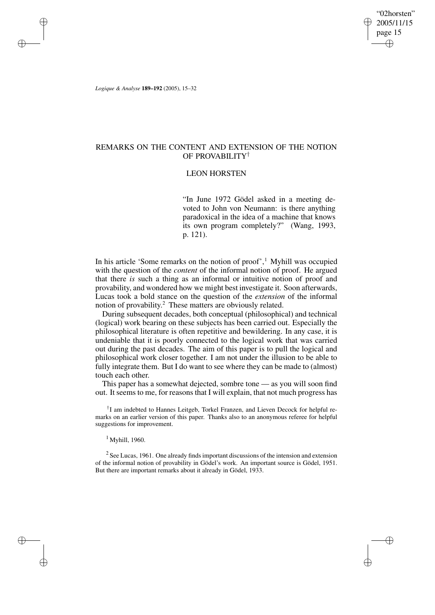"02horsten" 2005/11/15 page 15 ✐ ✐

✐

✐

*Logique & Analyse* **189–192** (2005), 15–32

✐

✐

✐

✐

# REMARKS ON THE CONTENT AND EXTENSION OF THE NOTION OF PROVABILITY†

# LEON HORSTEN

"In June 1972 Gödel asked in a meeting devoted to John von Neumann: is there anything paradoxical in the idea of a machine that knows its own program completely?" (Wang, 1993, p. 121).

In his article 'Some remarks on the notion of proof',<sup>1</sup> Myhill was occupied with the question of the *content* of the informal notion of proof. He argued that there *is* such a thing as an informal or intuitive notion of proof and provability, and wondered how we might best investigate it. Soon afterwards, Lucas took a bold stance on the question of the *extension* of the informal notion of provability. <sup>2</sup> These matters are obviously related.

During subsequent decades, both conceptual (philosophical) and technical (logical) work bearing on these subjects has been carried out. Especially the philosophical literature is often repetitive and bewildering. In any case, it is undeniable that it is poorly connected to the logical work that was carried out during the past decades. The aim of this paper is to pull the logical and philosophical work closer together. I am not under the illusion to be able to fully integrate them. But I do want to see where they can be made to (almost) touch each other.

This paper has a somewhat dejected, sombre tone — as you will soon find out. It seems to me, for reasons that I will explain, that not much progress has

† I am indebted to Hannes Leitgeb, Torkel Franzen, and Lieven Decock for helpful remarks on an earlier version of this paper. Thanks also to an anonymous referee for helpful suggestions for improvement.

 $1$  Myhill, 1960.

 $2$  See Lucas, 1961. One already finds important discussions of the intension and extension of the informal notion of provability in Gödel's work. An important source is Gödel, 1951. But there are important remarks about it already in Gödel, 1933.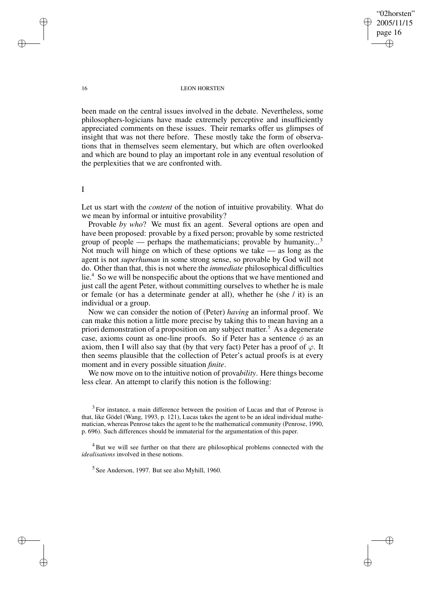✐

#### 16 LEON HORSTEN

been made on the central issues involved in the debate. Nevertheless, some philosophers-logicians have made extremely perceptive and insufficiently appreciated comments on these issues. Their remarks offer us glimpses of insight that was not there before. These mostly take the form of observations that in themselves seem elementary, but which are often overlooked and which are bound to play an important role in any eventual resolution of the perplexities that we are confronted with.

I

Let us start with the *content* of the notion of intuitive provability. What do we mean by informal or intuitive provability?

Provable *by who*? We must fix an agent. Several options are open and have been proposed: provable by a fixed person; provable by some restricted group of people — perhaps the mathematicians; provable by humanity...<sup>3</sup> Not much will hinge on which of these options we take — as long as the agent is not *superhuman* in some strong sense, so provable by God will not do. Other than that, this is not where the *immediate* philosophical difficulties lie.<sup>4</sup> So we will be nonspecific about the options that we have mentioned and just call the agent Peter, without committing ourselves to whether he is male or female (or has a determinate gender at all), whether he (she / it) is an individual or a group.

Now we can consider the notion of (Peter) *having* an informal proof. We can make this notion a little more precise by taking this to mean having an a priori demonstration of a proposition on any subject matter. <sup>5</sup> As a degenerate case, axioms count as one-line proofs. So if Peter has a sentence  $\phi$  as an axiom, then I will also say that (by that very fact) Peter has a proof of  $\varphi$ . It then seems plausible that the collection of Peter's actual proofs is at every moment and in every possible situation *finite*.

We now move on to the intuitive notion of prova*bility*. Here things become less clear. An attempt to clarify this notion is the following:

 $3$  For instance, a main difference between the position of Lucas and that of Penrose is that, like Gödel (Wang, 1993, p. 121), Lucas takes the agent to be an ideal individual mathematician, whereas Penrose takes the agent to be the mathematical community (Penrose, 1990, p. 696). Such differences should be immaterial for the argumentation of this paper.

<sup>4</sup> But we will see further on that there are philosophical problems connected with the *idealisations* involved in these notions.

<sup>5</sup> See Anderson, 1997. But see also Myhill, 1960.

✐

✐

✐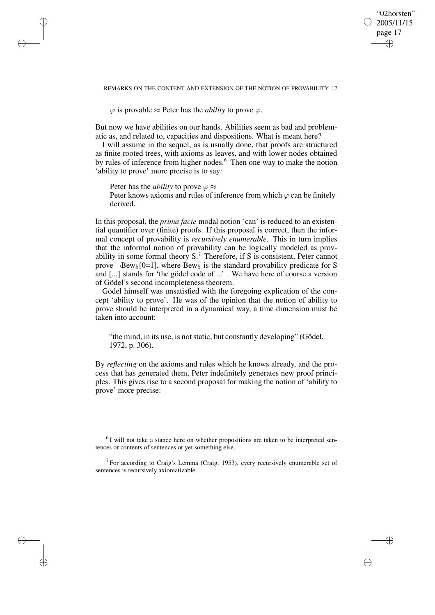✐

#### REMARKS ON THE CONTENT AND EXTENSION OF THE NOTION OF PROVABILITY 17

 $\varphi$  is provable  $\approx$  Peter has the *ability* to prove  $\varphi$ .

✐

✐

✐

✐

But now we have abilities on our hands. Abilities seem as bad and problematic as, and related to, capacities and dispositions. What is meant here?

I will assume in the sequel, as is usually done, that proofs are structured as finite rooted trees, with axioms as leaves, and with lower nodes obtained by rules of inference from higher nodes.<sup>6</sup> Then one way to make the notion 'ability to prove' more precise is to say:

Peter has the *ability* to prove  $\varphi \approx$ Peter knows axioms and rules of inference from which  $\varphi$  can be finitely derived.

In this proposal, the *prima facie* modal notion 'can' is reduced to an existential quantifier over (finite) proofs. If this proposal is correct, then the informal concept of provability is *recursively enumerable*. This in turn implies that the informal notion of provability can be logically modeled as provability in some formal theory  $S<sup>7</sup>$ . Therefore, if S is consistent, Peter cannot prove  $\neg$ Bew<sub>S</sub>[0=1], where Bew<sub>S</sub> is the standard provability predicate for S and [...] stands for 'the gödel code of ...' . We have here of course a version of Gödel's second incompleteness theorem.

Gödel himself was unsatisfied with the foregoing explication of the concept 'ability to prove'. He was of the opinion that the notion of ability to prove should be interpreted in a dynamical way, a time dimension must be taken into account:

"the mind, in its use, is not static, but constantly developing" (Gödel, 1972, p. 306).

By *reflecting* on the axioms and rules which he knows already, and the process that has generated them, Peter indefinitely generates new proof principles. This gives rise to a second proposal for making the notion of 'ability to prove' more precise:

 ${}^{6}$ I will not take a stance here on whether propositions are taken to be interpreted sentences or contents of sentences or yet something else.

 $7$  For according to Craig's Lemma (Craig, 1953), every recursively enumerable set of sentences is recursively axiomatizable.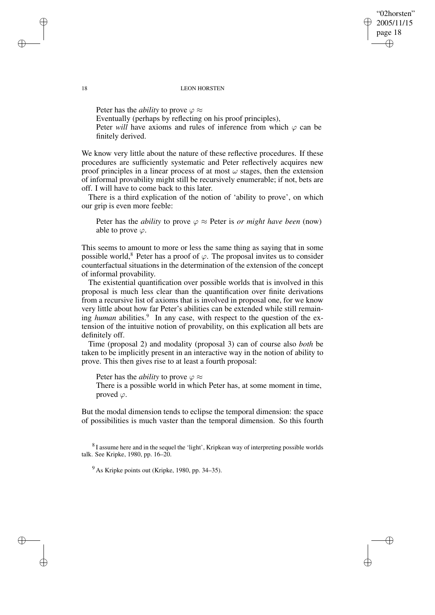"02horsten" 2005/11/15 page 18 ✐ ✐

✐

✐

#### 18 LEON HORSTEN

Peter has the *ability* to prove  $\varphi \approx$ Eventually (perhaps by reflecting on his proof principles), Peter *will* have axioms and rules of inference from which  $\varphi$  can be finitely derived.

We know very little about the nature of these reflective procedures. If these procedures are sufficiently systematic and Peter reflectively acquires new proof principles in a linear process of at most  $\omega$  stages, then the extension of informal provability might still be recursively enumerable; if not, bets are off. I will have to come back to this later.

There is a third explication of the notion of 'ability to prove', on which our grip is even more feeble:

Peter has the *ability* to prove  $\varphi \approx$  Peter is *or might have been* (now) able to prove  $\varphi$ .

This seems to amount to more or less the same thing as saying that in some possible world,<sup>8</sup> Peter has a proof of  $\varphi$ . The proposal invites us to consider counterfactual situations in the determination of the extension of the concept of informal provability.

The existential quantification over possible worlds that is involved in this proposal is much less clear than the quantification over finite derivations from a recursive list of axioms that is involved in proposal one, for we know very little about how far Peter's abilities can be extended while still remaining *human* abilities.<sup>9</sup> In any case, with respect to the question of the extension of the intuitive notion of provability, on this explication all bets are definitely off.

Time (proposal 2) and modality (proposal 3) can of course also *both* be taken to be implicitly present in an interactive way in the notion of ability to prove. This then gives rise to at least a fourth proposal:

Peter has the *ability* to prove  $\varphi \approx$ 

There is a possible world in which Peter has, at some moment in time, proved  $\varphi$ .

But the modal dimension tends to eclipse the temporal dimension: the space of possibilities is much vaster than the temporal dimension. So this fourth

 $8$ I assume here and in the sequel the 'light', Kripkean way of interpreting possible worlds talk. See Kripke, 1980, pp. 16–20.

✐

✐

✐

 $9^9$  As Kripke points out (Kripke, 1980, pp. 34–35).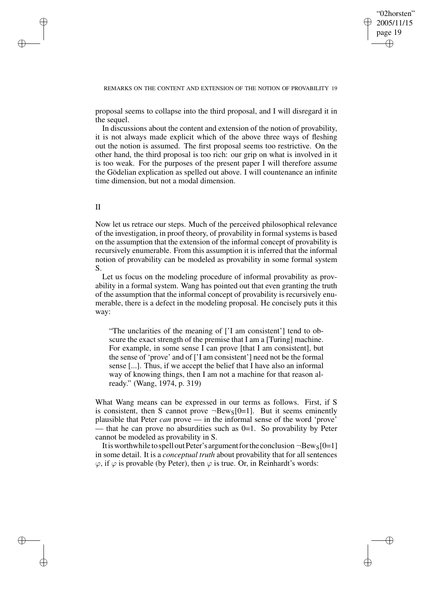✐

## REMARKS ON THE CONTENT AND EXTENSION OF THE NOTION OF PROVABILITY 19

proposal seems to collapse into the third proposal, and I will disregard it in the sequel.

In discussions about the content and extension of the notion of provability, it is not always made explicit which of the above three ways of fleshing out the notion is assumed. The first proposal seems too restrictive. On the other hand, the third proposal is too rich: our grip on what is involved in it is too weak. For the purposes of the present paper I will therefore assume the Gödelian explication as spelled out above. I will countenance an infinite time dimension, but not a modal dimension.

## II

✐

✐

✐

✐

Now let us retrace our steps. Much of the perceived philosophical relevance of the investigation, in proof theory, of provability in formal systems is based on the assumption that the extension of the informal concept of provability is recursively enumerable. From this assumption it is inferred that the informal notion of provability can be modeled as provability in some formal system S.

Let us focus on the modeling procedure of informal provability as provability in a formal system. Wang has pointed out that even granting the truth of the assumption that the informal concept of provability is recursively enumerable, there is a defect in the modeling proposal. He concisely puts it this way:

"The unclarities of the meaning of ['I am consistent'] tend to obscure the exact strength of the premise that I am a [Turing] machine. For example, in some sense I can prove [that I am consistent], but the sense of 'prove' and of ['I am consistent'] need not be the formal sense [...]. Thus, if we accept the belief that I have also an informal way of knowing things, then I am not a machine for that reason already." (Wang, 1974, p. 319)

What Wang means can be expressed in our terms as follows. First, if S is consistent, then S cannot prove  $\neg$ Bew<sub>S</sub>[0=1]. But it seems eminently plausible that Peter *can* prove — in the informal sense of the word 'prove' — that he can prove no absurdities such as  $0=1$ . So provability by Peter cannot be modeled as provability in S.

It is worthwhile to spell out Peter's argument for the conclusion  $\neg$ Bew<sub>S</sub>[0=1] in some detail. It is a *conceptual truth* about provability that for all sentences  $\varphi$ , if  $\varphi$  is provable (by Peter), then  $\varphi$  is true. Or, in Reinhardt's words: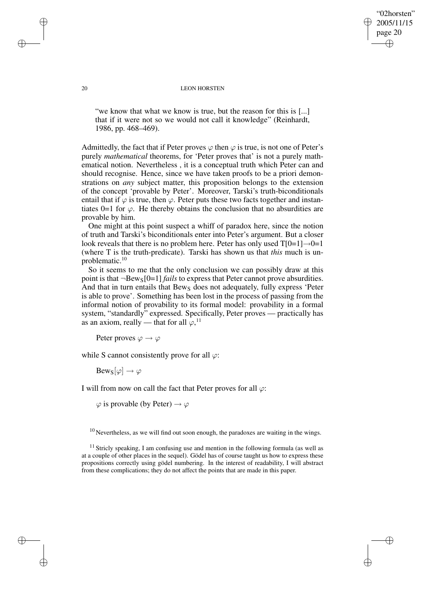"02horsten" 2005/11/15 page 20 ✐ ✐

✐

✐

#### 20 LEON HORSTEN

"we know that what we know is true, but the reason for this is [...] that if it were not so we would not call it knowledge" (Reinhardt, 1986, pp. 468–469).

Admittedly, the fact that if Peter proves  $\varphi$  then  $\varphi$  is true, is not one of Peter's purely *mathematical* theorems, for 'Peter proves that' is not a purely mathematical notion. Nevertheless , it is a conceptual truth which Peter can and should recognise. Hence, since we have taken proofs to be a priori demonstrations on *any* subject matter, this proposition belongs to the extension of the concept 'provable by Peter'. Moreover, Tarski's truth-biconditionals entail that if  $\varphi$  is true, then  $\varphi$ . Peter puts these two facts together and instantiates 0=1 for  $\varphi$ . He thereby obtains the conclusion that no absurdities are provable by him.

One might at this point suspect a whiff of paradox here, since the notion of truth and Tarski's biconditionals enter into Peter's argument. But a closer look reveals that there is no problem here. Peter has only used  $T[0=1] \rightarrow 0=1$ (where T is the truth-predicate). Tarski has shown us that *this* much is unproblematic.<sup>10</sup>

So it seems to me that the only conclusion we can possibly draw at this point is that  $\neg$ Bews<sup>[0=1] *fails* to express that Peter cannot prove absurdities.</sup> And that in turn entails that  $Bew_S$  does not adequately, fully express 'Peter is able to prove'. Something has been lost in the process of passing from the informal notion of provability to its formal model: provability in a formal system, "standardly" expressed. Specifically, Peter proves — practically has as an axiom, really — that for all  $\varphi$ ,<sup>11</sup>

Peter proves  $\varphi \to \varphi$ 

while S cannot consistently prove for all  $\varphi$ :

 $Bew_S[\varphi] \to \varphi$ 

I will from now on call the fact that Peter proves for all  $\varphi$ :

 $\varphi$  is provable (by Peter)  $\rightarrow \varphi$ 

 $10$  Nevertheless, as we will find out soon enough, the paradoxes are waiting in the wings.

✐

✐

✐

<sup>&</sup>lt;sup>11</sup> Stricly speaking, I am confusing use and mention in the following formula (as well as at a couple of other places in the sequel). Gödel has of course taught us how to express these propositions correctly using gödel numbering. In the interest of readability, I will abstract from these complications; they do not affect the points that are made in this paper.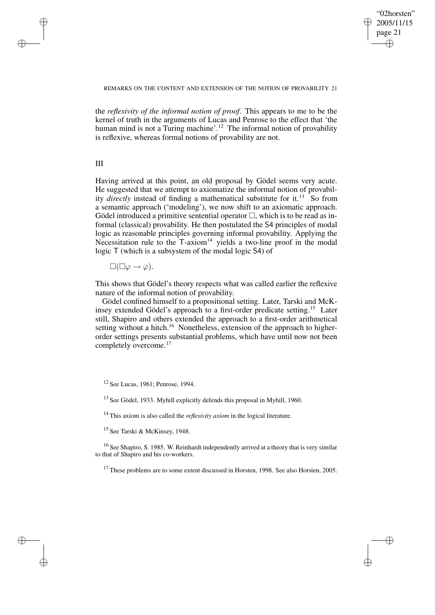✐

### REMARKS ON THE CONTENT AND EXTENSION OF THE NOTION OF PROVABILITY 21

the *reflexivity of the informal notion of proof*. This appears to me to be the kernel of truth in the arguments of Lucas and Penrose to the effect that 'the human mind is not a Turing machine'.<sup>12</sup> The informal notion of provability is reflexive, whereas formal notions of provability are not.

III

✐

✐

✐

✐

Having arrived at this point, an old proposal by Gödel seems very acute. He suggested that we attempt to axiomatize the informal notion of provability *directly* instead of finding a mathematical substitute for it.<sup>13</sup> So from a semantic approach ('modeling'), we now shift to an axiomatic approach. Gödel introduced a primitive sentential operator  $\Box$ , which is to be read as informal (classical) provability. He then postulated the S4 principles of modal logic as reasonable principles governing informal provability. Applying the Necessitation rule to the T-axiom<sup>14</sup> yields a two-line proof in the modal logic T (which is a subsystem of the modal logic S4) of

 $\square(\square \varphi \rightarrow \varphi).$ 

This shows that Gödel's theory respects what was called earlier the reflexive nature of the informal notion of provability.

Gödel confined himself to a propositional setting. Later, Tarski and McKinsey extended Gödel's approach to a first-order predicate setting.<sup>15</sup> Later still, Shapiro and others extended the approach to a first-order arithmetical setting without a hitch.<sup>16</sup> Nonetheless, extension of the approach to higherorder settings presents substantial problems, which have until now not been completely overcome.<sup>17</sup>

<sup>13</sup> See Gödel, 1933. Myhill explicitly defends this proposal in Myhill, 1960.

<sup>14</sup> This axiom is also called the *reflexivity axiom* in the logical literature.

<sup>15</sup> See Tarski & McKinsey, 1948.

<sup>16</sup> See Shapiro, S. 1985. W. Reinhardt independently arrived at a theory that is very similar to that of Shapiro and his co-workers.

<sup>17</sup> These problems are to some extent discussed in Horsten, 1998. See also Horsten, 2005.

<sup>12</sup> See Lucas, 1961; Penrose, 1994.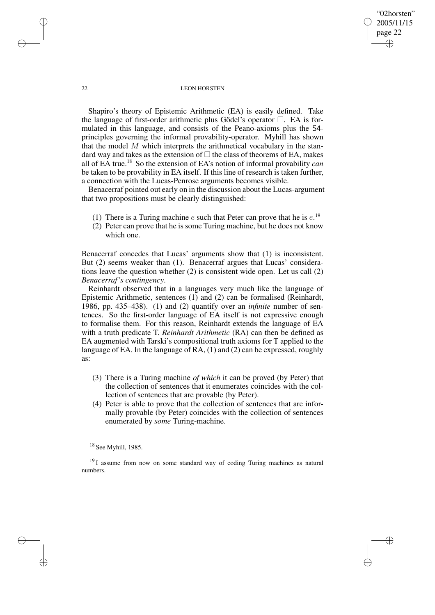"02horsten" 2005/11/15 page 22 ✐ ✐

✐

✐

#### 22 LEON HORSTEN

Shapiro's theory of Epistemic Arithmetic (EA) is easily defined. Take the language of first-order arithmetic plus Gödel's operator  $\Box$ . EA is formulated in this language, and consists of the Peano-axioms plus the S4 principles governing the informal provability-operator. Myhill has shown that the model  $M$  which interprets the arithmetical vocabulary in the standard way and takes as the extension of  $\Box$  the class of theorems of EA, makes all of EA true.<sup>18</sup> So the extension of EA's notion of informal provability *can* be taken to be provability in EA itself. If this line of research is taken further, a connection with the Lucas-Penrose arguments becomes visible.

Benacerraf pointed out early on in the discussion about the Lucas-argument that two propositions must be clearly distinguished:

- (1) There is a Turing machine  $e$  such that Peter can prove that he is  $e^{19}$ .
- (2) Peter can prove that he is some Turing machine, but he does not know which one.

Benacerraf concedes that Lucas' arguments show that (1) is inconsistent. But (2) seems weaker than (1). Benacerraf argues that Lucas' considerations leave the question whether (2) is consistent wide open. Let us call (2) *Benacerraf's contingency*.

Reinhardt observed that in a languages very much like the language of Epistemic Arithmetic, sentences (1) and (2) can be formalised (Reinhardt, 1986, pp. 435–438). (1) and (2) quantify over an *infinite* number of sentences. So the first-order language of EA itself is not expressive enough to formalise them. For this reason, Reinhardt extends the language of EA with a truth predicate T. *Reinhardt Arithmetic* (RA) can then be defined as EA augmented with Tarski's compositional truth axioms for T applied to the language of EA. In the language of RA, (1) and (2) can be expressed, roughly as:

- (3) There is a Turing machine *of which* it can be proved (by Peter) that the collection of sentences that it enumerates coincides with the collection of sentences that are provable (by Peter).
- (4) Peter is able to prove that the collection of sentences that are informally provable (by Peter) coincides with the collection of sentences enumerated by *some* Turing-machine.

<sup>18</sup> See Myhill, 1985.

<sup>19</sup> I assume from now on some standard way of coding Turing machines as natural numbers.

✐

✐

✐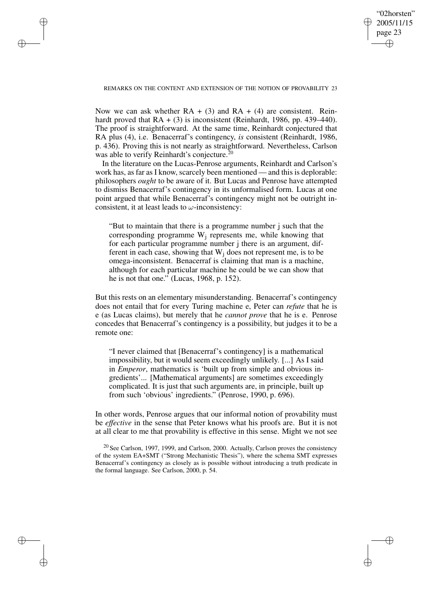✐

## REMARKS ON THE CONTENT AND EXTENSION OF THE NOTION OF PROVABILITY 23

✐

✐

✐

✐

Now we can ask whether  $RA + (3)$  and  $RA + (4)$  are consistent. Reinhardt proved that  $RA + (3)$  is inconsistent (Reinhardt, 1986, pp. 439–440). The proof is straightforward. At the same time, Reinhardt conjectured that RA plus (4), i.e. Benacerraf's contingency, *is* consistent (Reinhardt, 1986, p. 436). Proving this is not nearly as straightforward. Nevertheless, Carlson was able to verify Reinhardt's conjecture.<sup>20</sup>

In the literature on the Lucas-Penrose arguments, Reinhardt and Carlson's work has, as far as I know, scarcely been mentioned — and this is deplorable: philosophers *ought* to be aware of it. But Lucas and Penrose have attempted to dismiss Benacerraf's contingency in its unformalised form. Lucas at one point argued that while Benacerraf's contingency might not be outright inconsistent, it at least leads to  $\omega$ -inconsistency:

"But to maintain that there is a programme number j such that the corresponding programme  $W_i$  represents me, while knowing that for each particular programme number j there is an argument, different in each case, showing that  $W_i$  does not represent me, is to be omega-inconsistent. Benacerraf is claiming that man is a machine, although for each particular machine he could be we can show that he is not that one." (Lucas, 1968, p. 152).

But this rests on an elementary misunderstanding. Benacerraf's contingency does not entail that for every Turing machine e, Peter can *refute* that he is e (as Lucas claims), but merely that he *cannot prove* that he is e. Penrose concedes that Benacerraf's contingency is a possibility, but judges it to be a remote one:

"I never claimed that [Benacerraf's contingency] is a mathematical impossibility, but it would seem exceedingly unlikely. [...] As I said in *Emperor*, mathematics is 'built up from simple and obvious ingredients'... [Mathematical arguments] are sometimes exceedingly complicated. It is just that such arguments are, in principle, built up from such 'obvious' ingredients." (Penrose, 1990, p. 696).

In other words, Penrose argues that our informal notion of provability must be *effective* in the sense that Peter knows what his proofs are. But it is not at all clear to me that provability is effective in this sense. Might we not see

 $20$  See Carlson, 1997, 1999, and Carlson, 2000. Actually, Carlson proves the consistency of the system EA+SMT ("Strong Mechanistic Thesis"), where the schema SMT expresses Benacerraf's contingency as closely as is possible without introducing a truth predicate in the formal language. See Carlson, 2000, p. 54.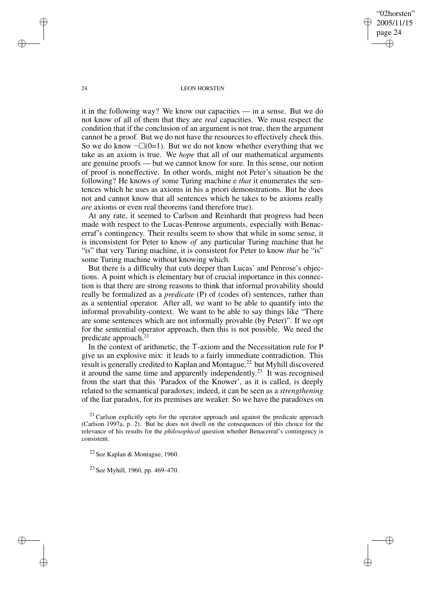"02horsten" 2005/11/15 page 24 ✐ ✐

✐

✐

#### 24 LEON HORSTEN

it in the following way? We know our capacities — in a sense. But we do not know of all of them that they are *real* capacities. We must respect the condition that if the conclusion of an argument is not true, then the argument cannot be a proof. But we do not have the resources to effectively check this. So we do know  $\neg\Box(0=1)$ . But we do not know whether everything that we take as an axiom is true. We *hope* that all of our mathematical arguments are genuine proofs — but we cannot know for sure. In this sense, our notion of proof is noneffective. In other words, might not Peter's situation be the following? He knows *of* some Turing machine e *that* it enumerates the sentences which he uses as axioms in his a priori demonstrations. But he does not and cannot know that all sentences which he takes to be axioms really *are* axioms or even real theorems (and therefore true).

At any rate, it seemed to Carlson and Reinhardt that progress had been made with respect to the Lucas-Penrose arguments, especially with Benacerraf's contingency. Their results seem to show that while in some sense, it is inconsistent for Peter to know *of* any particular Turing machine that he "is" that very Turing machine, it is consistent for Peter to know *that* he "is" some Turing machine without knowing which.

But there is a difficulty that cuts deeper than Lucas' and Penrose's objections. A point which is elementary but of crucial importance in this connection is that there are strong reasons to think that informal provability should really be formalized as a *predicate* (P) of (codes of) sentences, rather than as a sentential operator. After all, we want to be able to quantify into the informal provability-context. We want to be able to say things like "There are some sentences which are not informally provable (by Peter)". If we opt for the sentential operator approach, then this is not possible. We need the predicate approach.<sup>21</sup>

In the context of arithmetic, the T-axiom and the Necessitation rule for P give us an explosive mix: it leads to a fairly immediate contradiction. This result is generally credited to Kaplan and Montague,<sup>22</sup> but Myhill discovered it around the same time and apparently independently.<sup>23</sup> It was recognised from the start that this 'Paradox of the Knower', as it is called, is deeply related to the semantical paradoxes; indeed, it can be seen as a *strengthening* of the liar paradox, for its premises are weaker. So we have the paradoxes on

 $21$  Carlson explicitly opts for the operator approach and against the predicate approach (Carlson 1997a, p. 2). But he does not dwell on the consequences of this choice for the relevance of his results for the *philosophical* question whether Benacerraf's contingency is consistent.

<sup>22</sup> See Kaplan & Montague, 1960.

<sup>23</sup> See Myhill, 1960, pp. 469–470.

✐

✐

✐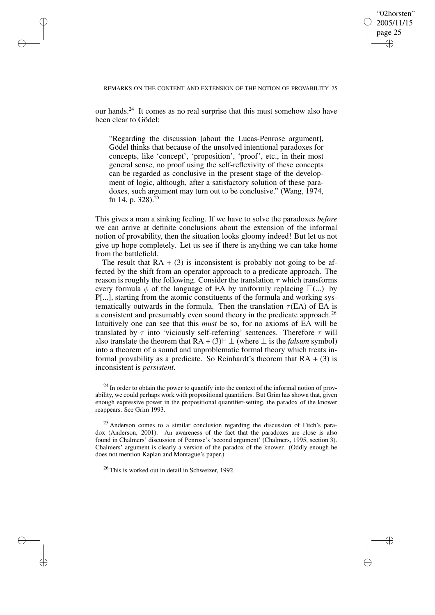✐

### REMARKS ON THE CONTENT AND EXTENSION OF THE NOTION OF PROVABILITY 25

✐

✐

✐

✐

our hands.<sup>24</sup> It comes as no real surprise that this must somehow also have been clear to Gödel:

"Regarding the discussion [about the Lucas-Penrose argument], Gödel thinks that because of the unsolved intentional paradoxes for concepts, like 'concept', 'proposition', 'proof', etc., in their most general sense, no proof using the self-reflexivity of these concepts can be regarded as conclusive in the present stage of the development of logic, although, after a satisfactory solution of these paradoxes, such argument may turn out to be conclusive." (Wang, 1974, fn 14, p. 328).<sup>25</sup>

This gives a man a sinking feeling. If we have to solve the paradoxes *before* we can arrive at definite conclusions about the extension of the informal notion of provability, then the situation looks gloomy indeed! But let us not give up hope completely. Let us see if there is anything we can take home from the battlefield.

The result that  $RA + (3)$  is inconsistent is probably not going to be affected by the shift from an operator approach to a predicate approach. The reason is roughly the following. Consider the translation  $\tau$  which transforms every formula  $\phi$  of the language of EA by uniformly replacing  $\square$ (...) by P[...], starting from the atomic constituents of the formula and working systematically outwards in the formula. Then the translation  $\tau$ (EA) of EA is a consistent and presumably even sound theory in the predicate approach.<sup>26</sup> Intuitively one can see that this *must* be so, for no axioms of EA will be translated by  $\tau$  into 'viciously self-referring' sentences. Therefore  $\tau$  will also translate the theorem that  $RA + (3) \vdash \bot$  (where  $\bot$  is the *falsum* symbol) into a theorem of a sound and unproblematic formal theory which treats informal provability as a predicate. So Reinhardt's theorem that  $RA + (3)$  is inconsistent is *persistent*.

 $24$  In order to obtain the power to quantify into the context of the informal notion of provability, we could perhaps work with propositional quantifiers. But Grim has shown that, given enough expressive power in the propositional quantifier-setting, the paradox of the knower reappears. See Grim 1993.

<sup>25</sup> Anderson comes to a similar conclusion regarding the discussion of Fitch's paradox (Anderson, 2001). An awareness of the fact that the paradoxes are close is also found in Chalmers' discussion of Penrose's 'second argument' (Chalmers, 1995, section 3). Chalmers' argument is clearly a version of the paradox of the knower. (Oddly enough he does not mention Kaplan and Montague's paper.)

<sup>26</sup> This is worked out in detail in Schweizer, 1992.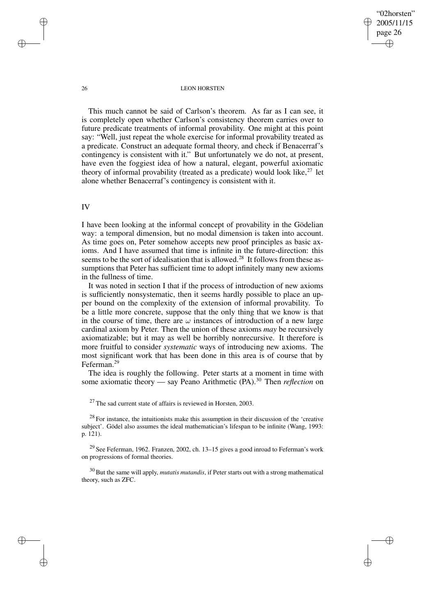"02horsten" 2005/11/15 page 26 ✐ ✐

✐

✐

#### 26 LEON HORSTEN

This much cannot be said of Carlson's theorem. As far as I can see, it is completely open whether Carlson's consistency theorem carries over to future predicate treatments of informal provability. One might at this point say: "Well, just repeat the whole exercise for informal provability treated as a predicate. Construct an adequate formal theory, and check if Benacerraf's contingency is consistent with it." But unfortunately we do not, at present, have even the foggiest idea of how a natural, elegant, powerful axiomatic theory of informal provability (treated as a predicate) would look like,  $27$  let alone whether Benacerraf's contingency is consistent with it.

# IV

I have been looking at the informal concept of provability in the Gödelian way: a temporal dimension, but no modal dimension is taken into account. As time goes on, Peter somehow accepts new proof principles as basic axioms. And I have assumed that time is infinite in the future-direction: this seems to be the sort of idealisation that is allowed.<sup>28</sup> It follows from these assumptions that Peter has sufficient time to adopt infinitely many new axioms in the fullness of time.

It was noted in section I that if the process of introduction of new axioms is sufficiently nonsystematic, then it seems hardly possible to place an upper bound on the complexity of the extension of informal provability. To be a little more concrete, suppose that the only thing that we know is that in the course of time, there are  $\omega$  instances of introduction of a new large cardinal axiom by Peter. Then the union of these axioms *may* be recursively axiomatizable; but it may as well be horribly nonrecursive. It therefore is more fruitful to consider *systematic* ways of introducing new axioms. The most significant work that has been done in this area is of course that by Feferman.<sup>29</sup>

The idea is roughly the following. Peter starts at a moment in time with some axiomatic theory — say Peano Arithmetic (PA).<sup>30</sup> Then *reflection* on

 $27$  The sad current state of affairs is reviewed in Horsten, 2003.

 $28$  For instance, the intuitionists make this assumption in their discussion of the 'creative subject'. Gödel also assumes the ideal mathematician's lifespan to be infinite (Wang, 1993: p. 121).

 $29$  See Feferman, 1962. Franzen, 2002, ch. 13–15 gives a good inroad to Feferman's work on progressions of formal theories.

<sup>30</sup> But the same will apply, *mutatis mutandis*, if Peter starts out with a strong mathematical theory, such as ZFC.

✐

✐

✐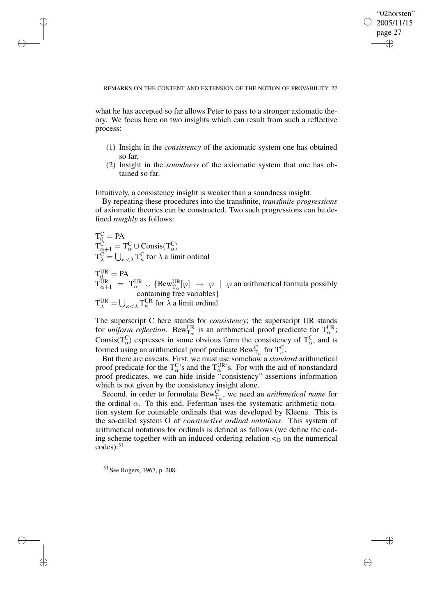✐

## REMARKS ON THE CONTENT AND EXTENSION OF THE NOTION OF PROVABILITY 27

what he has accepted so far allows Peter to pass to a stronger axiomatic theory. We focus here on two insights which can result from such a reflective process:

- (1) Insight in the *consistency* of the axiomatic system one has obtained so far.
- (2) Insight in the *soundness* of the axiomatic system that one has obtained so far.

Intuitively, a consistency insight is weaker than a soundness insight.

By repeating these procedures into the transfinite, *transfinite progressions* of axiomatic theories can be constructed. Two such progressions can be defined *roughly* as follows:

$$
T_C^C = PA
$$
  
\n
$$
T_{\alpha+1}^C = T_{\alpha}^C \cup Consis(T_{\alpha}^C)
$$
  
\n
$$
T_{\lambda}^C = \bigcup_{\kappa < \lambda} T_{\kappa}^C \text{ for } \lambda \text{ a limit ordinal}
$$
  
\n
$$
T_{0}^{UR} = PA
$$
  
\n
$$
T_{\alpha+1}^{UR} = T_{\alpha}^{UR} \cup \{Bew_{T_{\alpha}}^{UR}[\varphi] \to \varphi \mid \varphi \text{ an arithmetical formula possibly containing free variables}\}
$$
  
\n
$$
T_{\lambda}^{UR} = \bigcup_{\kappa < \lambda} T_{\kappa}^{UR} \text{ for } \lambda \text{ a limit ordinal}
$$

The superscript C here stands for *consistency*; the superscript UR stands for *uniform reflection*. Bew<sup>UR</sup> is an arithmetical proof predicate for  $T_{\alpha}^{UR}$ ; Consis( $T_{\alpha}^{C}$ ) expresses in some obvious form the consistency of  $T_{\alpha}^{C}$ , and is formed using an arithmetical proof predicate  $\text{Bew}^C_{T_\alpha}$  for  $T_\alpha^C$ .

But there are caveats. First, we must use somehow a *standard* arithmetical proof predicate for the  $T_{\alpha}^C$ 's and the  $T_{\alpha}^{UR}$ 's. For with the aid of nonstandard proof predicates, we can hide inside "consistency" assertions information which is not given by the consistency insight alone.

Second, in order to formulate  $Bew_{T_{\alpha}}^C$ , we need an *arithmetical name* for the ordinal  $\alpha$ . To this end, Feferman uses the systematic arithmetic notation system for countable ordinals that was developed by Kleene. This is the so-called system O of *constructive ordinal notations*. This system of arithmetical notations for ordinals is defined as follows (we define the coding scheme together with an induced ordering relation  $\lto$  on the numerical  $codes):$ <sup>31</sup>

<sup>31</sup> See Rogers, 1967, p. 208.

✐

✐

✐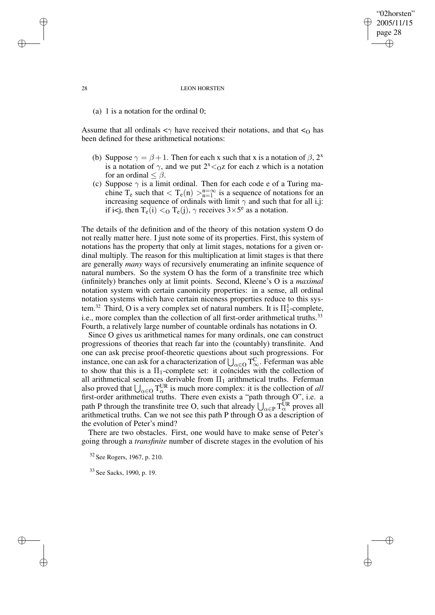#### 28 LEON HORSTEN

"02horsten" 2005/11/15 page 28

✐

✐

✐

✐

(a) 1 is a notation for the ordinal 0;

Assume that all ordinals  $\langle \gamma \rangle$  have received their notations, and that  $\langle \gamma \rangle$  has been defined for these arithmetical notations:

- (b) Suppose  $\gamma = \beta + 1$ . Then for each x such that x is a notation of  $\beta$ , 2<sup>x</sup> is a notation of  $\gamma$ , and we put  $2^{x} <_{Q}z$  for each z which is a notation for an ordinal  $\leq \beta$ .
- (c) Suppose  $\gamma$  is a limit ordinal. Then for each code e of a Turing machine T<sub>e</sub> such that  $\langle T_e(n) \rangle_{n=1}^{n=\infty}$  is a sequence of notations for an increasing sequence of ordinals with limit  $\gamma$  and such that for all i,j: if i<j, then  $T_e(i) <_O T_e(j)$ ,  $\gamma$  receives  $3 \times 5^e$  as a notation.

The details of the definition and of the theory of this notation system O do not really matter here. I just note some of its properties. First, this system of notations has the property that only at limit stages, notations for a given ordinal multiply. The reason for this multiplication at limit stages is that there are generally *many* ways of recursively enumerating an infinite sequence of natural numbers. So the system O has the form of a transfinite tree which (infinitely) branches only at limit points. Second, Kleene's O is a *maximal* notation system with certain canonicity properties: in a sense, all ordinal notation systems which have certain niceness properties reduce to this system.<sup>32</sup> Third, O is a very complex set of natural numbers. It is  $\Pi_1^1$ -complete, i.e., more complex than the collection of all first-order arithmetical truths.<sup>33</sup> Fourth, a relatively large number of countable ordinals has notations in O.

Since O gives us arithmetical names for many ordinals, one can construct progressions of theories that reach far into the (countably) transfinite. And one can ask precise proof-theoretic questions about such progressions. For instance, one can ask for a characterization of  $\bigcup_{\alpha\in O} T_{\infty}^C$ . Feferman was able to show that this is a  $\Pi_1$ -complete set: it coïncides with the collection of all arithmetical sentences derivable from  $\Pi_1$  arithmetical truths. Feferman also proved that  $\bigcup_{\alpha \in O} T_{\alpha}^{\text{UR}}$  is much more complex: it is the collection of *all* first-order arithmetical truths. There even exists a "path through O", i.e. a path P through the transfinite tree O, such that already  $\bigcup_{\alpha \in P} T_{\alpha}^{UR}$  proves all arithmetical truths. Can we not see this path P through  $\overline{O}$  as a description of the evolution of Peter's mind?

There are two obstacles. First, one would have to make sense of Peter's going through a *transfinite* number of discrete stages in the evolution of his

<sup>32</sup> See Rogers, 1967, p. 210.

<sup>33</sup> See Sacks, 1990, p. 19.

✐

✐

✐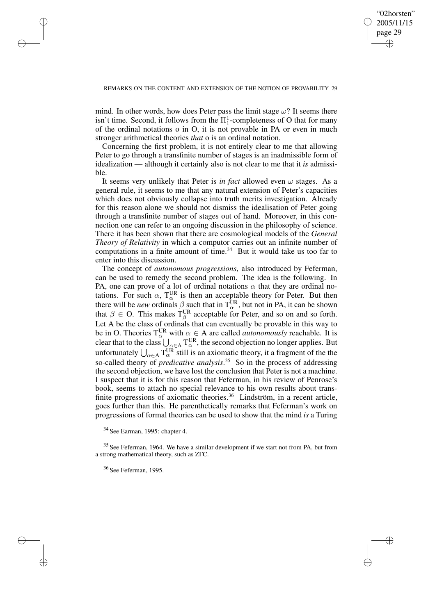✐

## REMARKS ON THE CONTENT AND EXTENSION OF THE NOTION OF PROVABILITY 29

mind. In other words, how does Peter pass the limit stage  $\omega$ ? It seems there isn't time. Second, it follows from the  $\Pi_1^1$ -completeness of O that for many of the ordinal notations o in O, it is not provable in PA or even in much stronger arithmetical theories *that* o is an ordinal notation.

Concerning the first problem, it is not entirely clear to me that allowing Peter to go through a transfinite number of stages is an inadmissible form of idealization — although it certainly also is not clear to me that it *is* admissible.

It seems very unlikely that Peter is *in fact* allowed even  $\omega$  stages. As a general rule, it seems to me that any natural extension of Peter's capacities which does not obviously collapse into truth merits investigation. Already for this reason alone we should not dismiss the idealisation of Peter going through a transfinite number of stages out of hand. Moreover, in this connection one can refer to an ongoing discussion in the philosophy of science. There it has been shown that there are cosmological models of the *General Theory of Relativity* in which a computor carries out an infinite number of computations in a finite amount of time.<sup>34</sup> But it would take us too far to enter into this discussion.

The concept of *autonomous progressions*, also introduced by Feferman, can be used to remedy the second problem. The idea is the following. In PA, one can prove of a lot of ordinal notations  $\alpha$  that they are ordinal notations. For such  $\alpha$ ,  $T_{\alpha}^{UR}$  is then an acceptable theory for Peter. But then there will be *new* ordinals  $\beta$  such that in  $T_{\alpha}^{UR}$ , but not in PA, it can be shown that  $\beta \in \text{O}$ . This makes  $T^{\text{UR}}_{\beta}$  acceptable for Peter, and so on and so forth. Let A be the class of ordinals that can eventually be provable in this way to be in O. Theories  $T_\alpha^{\text{UR}}$  with  $\alpha \in A$  are called *autonomously* reachable. It is clear that to the class  $\bigcup_{\alpha \in A} T_{\alpha}^{\text{UR}}$ , the second objection no longer applies. But unfortunately  $\bigcup_{\alpha \in A} T_{\alpha}^{\text{UR}}$  still is an axiomatic theory, it a fragment of the the so-called theory of *predicative analysis*. <sup>35</sup> So in the process of addressing the second objection, we have lost the conclusion that Peter is not a machine. I suspect that it is for this reason that Feferman, in his review of Penrose's book, seems to attach no special relevance to his own results about transfinite progressions of axiomatic theories.<sup>36</sup> Lindström, in a recent article, goes further than this. He parenthetically remarks that Feferman's work on progressions of formal theories can be used to show that the mind *is* a Turing

✐

✐

✐

<sup>34</sup> See Earman, 1995: chapter 4.

<sup>&</sup>lt;sup>35</sup> See Feferman, 1964. We have a similar development if we start not from PA, but from a strong mathematical theory, such as ZFC.

<sup>36</sup> See Feferman, 1995.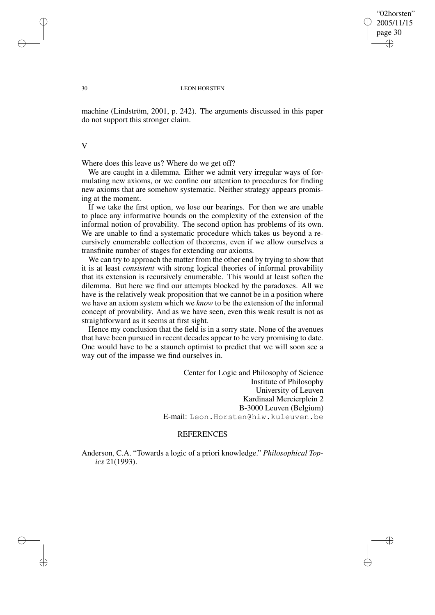✐

#### 30 LEON HORSTEN

machine (Lindström, 2001, p. 242). The arguments discussed in this paper do not support this stronger claim.

V

Where does this leave us? Where do we get off?

We are caught in a dilemma. Either we admit very irregular ways of formulating new axioms, or we confine our attention to procedures for finding new axioms that are somehow systematic. Neither strategy appears promising at the moment.

If we take the first option, we lose our bearings. For then we are unable to place any informative bounds on the complexity of the extension of the informal notion of provability. The second option has problems of its own. We are unable to find a systematic procedure which takes us beyond a recursively enumerable collection of theorems, even if we allow ourselves a transfinite number of stages for extending our axioms.

We can try to approach the matter from the other end by trying to show that it is at least *consistent* with strong logical theories of informal provability that its extension is recursively enumerable. This would at least soften the dilemma. But here we find our attempts blocked by the paradoxes. All we have is the relatively weak proposition that we cannot be in a position where we have an axiom system which we *know* to be the extension of the informal concept of provability. And as we have seen, even this weak result is not as straightforward as it seems at first sight.

Hence my conclusion that the field is in a sorry state. None of the avenues that have been pursued in recent decades appear to be very promising to date. One would have to be a staunch optimist to predict that we will soon see a way out of the impasse we find ourselves in.

> Center for Logic and Philosophy of Science Institute of Philosophy University of Leuven Kardinaal Mercierplein 2 B-3000 Leuven (Belgium) E-mail: Leon.Horsten@hiw.kuleuven.be

# **REFERENCES**

Anderson, C.A. "Towards a logic of a priori knowledge." *Philosophical Topics* 21(1993).

✐

✐

✐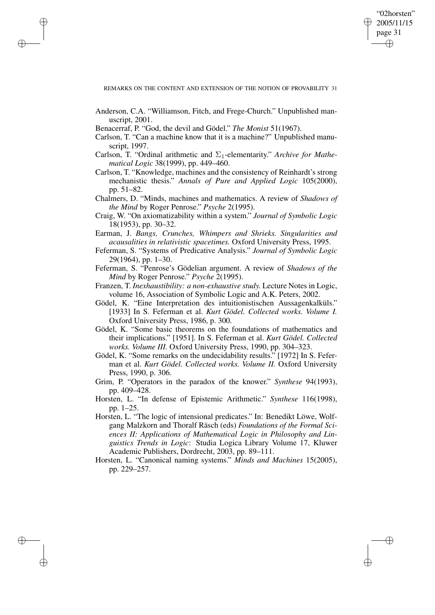✐

REMARKS ON THE CONTENT AND EXTENSION OF THE NOTION OF PROVABILITY 31

- Anderson, C.A. "Williamson, Fitch, and Frege-Church." Unpublished manuscript, 2001.
- Benacerraf, P. "God, the devil and Gödel." *The Monist* 51(1967).

✐

✐

✐

- Carlson, T. "Can a machine know that it is a machine?" Unpublished manuscript, 1997.
- Carlson, T. "Ordinal arithmetic and  $\Sigma_1$ -elementarity." Archive for Mathe*matical Logic* 38(1999), pp. 449–460.
- Carlson, T. "Knowledge, machines and the consistency of Reinhardt's strong mechanistic thesis." *Annals of Pure and Applied Logic* 105(2000), pp. 51–82.
- Chalmers, D. "Minds, machines and mathematics. A review of *Shadows of the Mind* by Roger Penrose." *Psyche* 2(1995).
- Craig, W. "On axiomatizability within a system." *Journal of Symbolic Logic* 18(1953), pp. 30–32.
- Earman, J. *Bangs, Crunches, Whimpers and Shrieks. Singularities and acausalities in relativistic spacetimes.* Oxford University Press, 1995.
- Feferman, S. "Systems of Predicative Analysis." *Journal of Symbolic Logic* 29(1964), pp. 1–30.
- Feferman, S. "Penrose's Gödelian argument. A review of *Shadows of the Mind* by Roger Penrose." *Psyche* 2(1995).
- Franzen, T. *Inexhaustibility: a non-exhaustive study.* Lecture Notes in Logic, volume 16, Association of Symbolic Logic and A.K. Peters, 2002.
- Gödel, K. "Eine Interpretation des intuitionistischen Aussagenkalküls." [1933] In S. Feferman et al. *Kurt Gödel. Collected works. Volume I.* Oxford University Press, 1986, p. 300.
- Gödel, K. "Some basic theorems on the foundations of mathematics and their implications." [1951]. In S. Feferman et al. *Kurt Gödel. Collected works. Volume III.* Oxford University Press, 1990, pp. 304–323.
- Gödel, K. "Some remarks on the undecidability results." [1972] In S. Feferman et al. *Kurt Gödel. Collected works. Volume II.* Oxford University Press, 1990, p. 306.
- Grim, P. "Operators in the paradox of the knower." *Synthese* 94(1993), pp. 409–428.
- Horsten, L. "In defense of Epistemic Arithmetic." *Synthese* 116(1998), pp. 1–25.
- Horsten, L. "The logic of intensional predicates." In: Benedikt Löwe, Wolfgang Malzkorn and Thoralf Räsch (eds) *Foundations of the Formal Sciences II: Applications of Mathematical Logic in Philosophy and Linguistics Trends in Logic*: Studia Logica Library Volume 17, Kluwer Academic Publishers, Dordrecht, 2003, pp. 89–111.
- Horsten, L. "Canonical naming systems." *Minds and Machines* 15(2005), pp. 229–257.